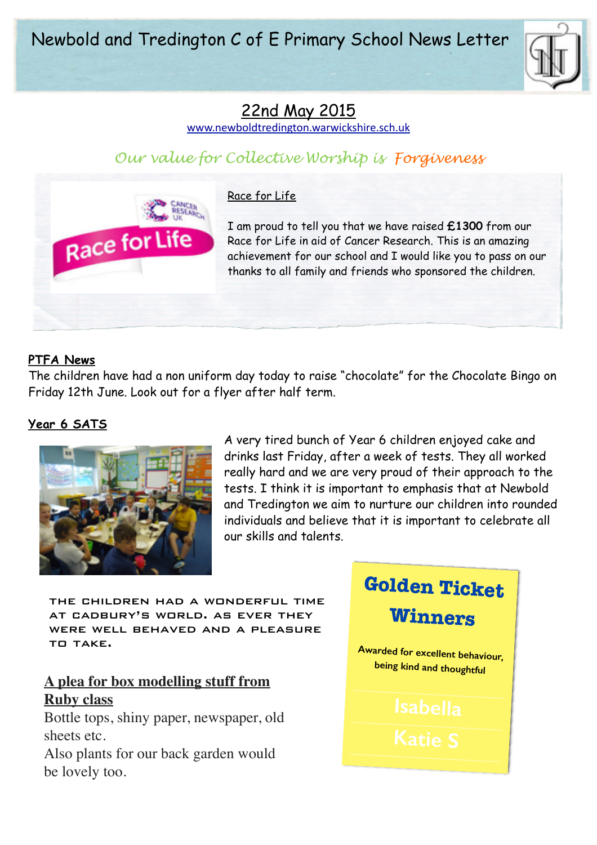

# 22nd May 2015

[www.newboldtredington.warwickshire.sch.uk](http://www.newboldtredington.warwickshire.sch.uk)

## *Our value for Collective Worship is Forgiveness*



#### Race for Life

I am proud to tell you that we have raised **£1300** from our Race for Life in aid of Cancer Research. This is an amazing achievement for our school and I would like you to pass on our thanks to all family and friends who sponsored the children.

#### **PTFA News**

The children have had a non uniform day today to raise "chocolate" for the Chocolate Bingo on Friday 12th June. Look out for a flyer after half term.

#### **Year 6 SATS**



A very tired bunch of Year 6 children enjoyed cake and drinks last Friday, after a week of tests. They all worked really hard and we are very proud of their approach to the tests. I think it is important to emphasis that at Newbold and Tredington we aim to nurture our children into rounded individuals and believe that it is important to celebrate all our skills and talents.

the children had a wonderful time at cadbury's world. as ever they were well behaved and a pleasure to take.

### **A plea for box modelling stuff from Ruby class**

Bottle tops, shiny paper, newspaper, old sheets etc.

Also plants for our back garden would be lovely too.